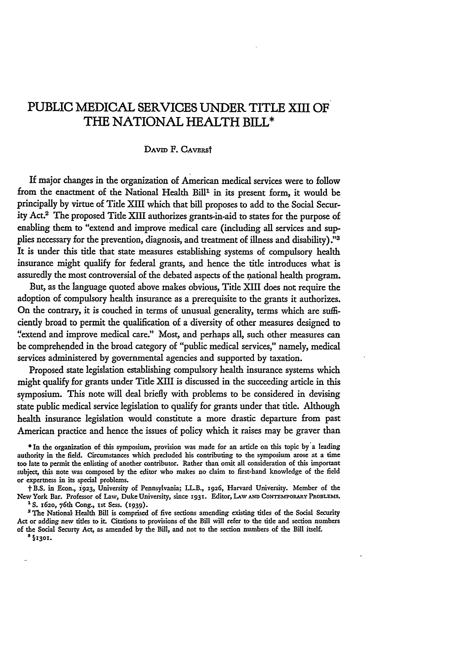## PUBLIC MEDICAL SERVICES **UNDER** TITLE XIII OF **THE** NATIONAL HEALTH BILL\*

## **DAVID** F. CAVERSt

**If** major changes in the organization of American medical services were to follow from the enactment of the National Health Bill' in its present form, it would be principally **by** virtue of Title XIII which that bill proposes to add to the Social Security **Act.<sup>2</sup>**The proposed Title XIII authorizes grants-in-aid to states for the purpose of enabling them to "extend and improve medical care (including all services and supplies necessary for the prevention, diagnosis, and treatment of illness and disability) **-'3** It is under this title that state measures establishing systems of compulsory health insurance might qualify for federal grants, and hence the title introduces what is assuredly the most controversial of the debated aspects of the national health program.

But, as the language quoted above makes obvious, **Title** XIII does not require the adoption of compulsory health insurance as a prerequisite to the grants it authorizes. On the contrary, it is couched in terms of unusual generality, terms which are sufficiently broad to permit the qualification of a diversity of other measures designed to '.extend and improve medical care." Most, and perhaps all, such other measures can be comprehended in the broad category of "public medical services," namely, medical services administered by governmental agencies and supported by taxation.

Proposed state legislation establishing compulsory health insurance systems which might qualify for grants under Title XIII is discussed in the succeeding article in this symposium. This note will deal briefly with problems to be considered in devising state public medical service legislation to qualify for grants under that tide. Although health insurance legislation would constitute a more drastic departure from past American practice and hence the issues of policy which it raises may be graver than

In the organization of this symposium, provision was made for an article on this topic by a leading authority in the field. Circumstances which precluded his contributing to the symposium arose at a time too late to permit the enlisting of another contributor. Rather than omit all consideration of this important subject, this note was composed by the editor who makes no claim to first-hand knowledge of the field or expertness in its special problems.

t B.S. in Econ., i923, University of Pennsylvania; LLB., **1926,** Harvard University. Member of the New York Bar. Professor of Law, Duke University, since 1931. Editor, LAW AND CONTEMPORARY PROBLEMS.<br><sup>1</sup> S. 1620, 76th Cong., 1st Sess. (1939).

<sup>2</sup> The National Health Bill is comprised of five sections amending existing titles of the Social Security Act or adding new titles to **it.** Citations to provisions of the Bill will refer to the title and section numbers of the Social Securty Act, as amended by the Bill, and not to the section numbers of the Bill itself.

**3 §1301.**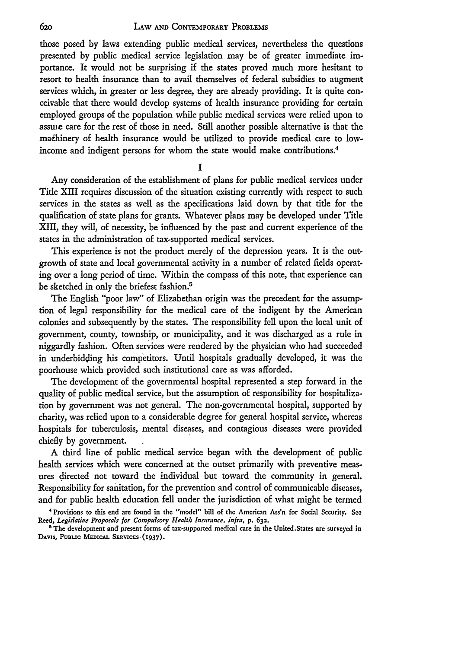## **620** LAW **AND** CONTEMPORARY **PROBLEMS**

those posed by laws extending public medical services, nevertheless the questions presented by public medical service legislation may be of greater immediate importance. It would not be surprising if the states proved much more hesitant to resort to health insurance than to avail themselves of federal subsidies to augment services which, in greater or less degree, they are already providing. It is quite conceivable that there would develop systems of health insurance providing for certain employed groups of the population while public medical services were relied upon to assue care for the rest of those in need. Still another possible alternative is that the mathinery of health insurance would be utilized to provide medical care to lowincome and indigent persons for whom the state would make contributions.4

**I**

**Any** consideration of the establishment of plans for public medical services under Title XIII requires discussion of the situation existing currently with respect to such services in the states as well as the specifications laid down by that title for the qualification of state plans for grants. Whatever plans may be developed under Title XIII, they will, of necessity, be influenced by the past and current experience of the states in the administration of tax-supported medical services.

This experience is not the product merely of the depression years. It is the outgrowth of state and local governmental activity in a number of related fields operating over a long period of time. Within the compass of this note, that experience can be sketched in only the briefest fashion.<sup>5</sup>

The English "poor law" of Elizabethan origin was the precedent for the assumption of legal responsibility for the medical care of the indigent by the American colonies and subsequently by the states. The responsibility fell upon the local unit of government, county, township, or municipality, and it was discharged as a rule in niggardly fashion. Often services were rendered by the physician who had succeeded in underbidding his competitors. Until hospitals gradually developed, it was the poorhouse which provided such institutional care as was afforded.

The development of the governmental hospital represented a step forward in the quality of public medical service, but the assumption of responsibility for hospitalization by government was not general. The non-governmental hospital, supported by charity, was relied upon to a considerable degree for general hospital service, whereas hospitals for tuberculosis, mental diseases, and contagious diseases were provided chiefly by government.

A third line of public medical service began with the development of public health services which were concerned at the outset primarily with preventive measures directed not toward the individual but toward the community in general. Responsibility for sanitation, for the prevention and control of communicable diseases, and for public health education fell under the jurisdiction of what might be termed

**<sup>&#</sup>x27;** Provisions to this **end** are found **in** the "model" bill **of** the American Ass'n for Social Security. See Reed, *Legislative Proposals for Compulsory Health Insurance, infra,* **p. 632.**

**<sup>&#</sup>x27; The** development and present forms of tax-supported medical care **in** the United.States **are** surveyed **in** DAVIS, PUBLIC MEDICAL SERVICES (1937).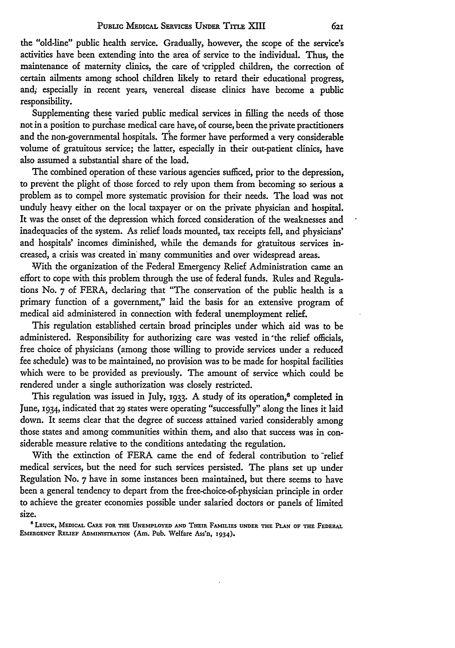the "old-line" public health service. Gradually, however, the scope of the service's activities have been extending into the area of service to the individual. Thus, the maintenance of maternity clinics, the care of crippled children, the correction of certain ailments among school children likely to retard their educational progress, and; especially in recent years, venereal disease clinics have become a public responsibility.

Supplementing these varied public medical services in filling the needs of those not in a position to purchase medical care have, of course, been the private practitioners and the non-governmental hospitals. The former have performed a very considerable volume of gratuitous service; the latter, especially in their out-patient clinics, have also assumed a substantial share of the load.

The combined operation of these various agencies sufficed, prior to the depression, to prevent the plight of those forced to rely upon them from becoming so serious a problem as to compel more systematic provision for their needs. The load was not unduly heavy either on the local taxpayer or on the private physician and hospital. It was the onset of the depression which forced consideration of the weaknesses and inadequacies of the system. As relief loads mounted, tax receipts fell, and physicians' and hospitals' incomes diminished, while the demands for gratuitous services increased, a crisis was created in: many communities and over widespread areas.

With the organization of the Federal Emergency Relief Administration came an effort to cope with this problem through the use of federal funds. Rules and Regulations **No. 7** of FERA, declaring that "The conservation of the public health is a primary function of a government," laid the basis for an extensive program of medical aid administered in connection with federal unemployment relief.

This regulation established certain broad principles under which aid was to be administered. Responsibility for authorizing care was vested in'the relief officials, free choice of physicians (among those willing to provide services under a reduced fee schedule) was to be maintained, no provision was to be made for hospital facilities which were to be provided as previously. The amount of service which could be rendered under a single authorization was closely restricted.

This regulation was issued in July, 1933. A study of its operation, $6$  completed in June, **1934,** indicated that **29** states were operating "successfully" along the lines it laid down. It seems clear that the degree of success attained varied considerably among those states and among communities within them, and also that success was in considerable measure relative to the conditions antedating the regulation.

With the extinction of FERA came the end of federal contribution to relief medical services, but the need for such services persisted. The plans set up under Regulation No. 7 have in some instances been maintained, but there seems to have been a general tendency to depart from the free-choice-of-physician principle in order to achieve the greater economies possible under salaried doctors or panels of limited size.**\* LEUCK, MEDICAL CARE FOR THE UNEMPLOYED AND THEIR FAMILIES UNDER THE PLAN OF THE FEDERAL**

EMERGENCY RELIEF ADMINISTRATION (Am. Pub. Welfare Ass'n, 1934).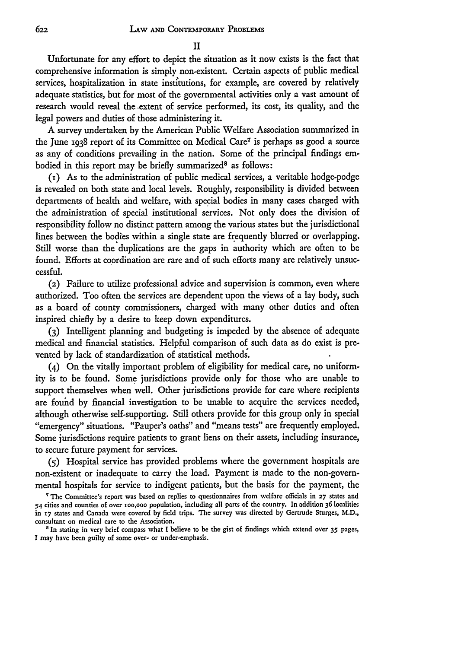Unfortunate for any effort to depict the situation as it now exists is the fact that comprehensive information is simply non-existent. Certain aspects of public medical services, hospitalization in state institutions, for example, are covered by relatively adequate statistics, but for most of the governmental activities only a vast amount of research would reveal the .extent of service performed, its cost, its quality, and the legal powers and duties of those administering it.

**A** survey undertaken by the American Public Welfare Association summarized in the June 1938 report of its Committee on Medical Care7 is perhaps as good a source as any of conditions prevailing in the nation. Some of the principal findings embodied in this report may be briefly summarized<sup>8</sup> as follows:

(i) As to the administration of public medical services, a veritable hodge-podge is revealed on both state and local levels. Roughly, responsibility is divided between departments of health and welfare, with special bodies in many cases charged with the administration of special institutional services. Not only does the division of responsibility follow no distinct pattern among the various states but the jurisdictional lines between the bodies within a single state are frequently blurred or overlapping. Still worse than the duplications are the gaps in authority which are often to be found. Efforts at coordination are rare and of such efforts many are relatively unsuccessful.

(z) Failure to utilize professional advice and supervision is common, even where authorized. Too often the services are dependent upon the views of a lay body, such as a board of county commissioners, charged with many other duties and often inspired chiefly by a desire to keep down expenditures.

(3) Intelligent planning and budgeting is impeded by the absence of adequate medical and financial statistics. Helpful comparison of such data as do exist is prevented by lack of standardization of statistical methods.

(4) On the vitally important problem of eligibility for medical care, no uniformity is to be found. Some jurisdictions provide only for those who are unable to support themselves when well. Other jurisdictions provide for care where recipients are fouhd by financial investigation to be unable to acquire the services needed, although otherwise self-supporting. Still others provide for this group only in special "emergency" situations. "Pauper's oaths" and "means tests" are frequently employed. Some jurisdictions require patients to grant liens on their assets, including insurance, to secure future payment for services.

**(5)** Hospital service has provided problems where the government hospitals are non-existent or inadequate to carry the load. Payment is made to the non-governmental hospitals for service to indigent patients, but the basis for the payment, the

**"** The Committee's report was based on replies to questionnaires from welfare officials in **27** states and **54** cities and counties of over ioo,ooo population, including all parts of the country. In addition 36 localities in **17** states and Canada were covered by field trips. The survey was directed by Gertrude Sturges, M.D., consultant on medical care to the Association.

**'** In stating in very brief compass what I believe to be the gist of findings which extend over **35** pages, I may have been guilty of some over- or under-emphasis.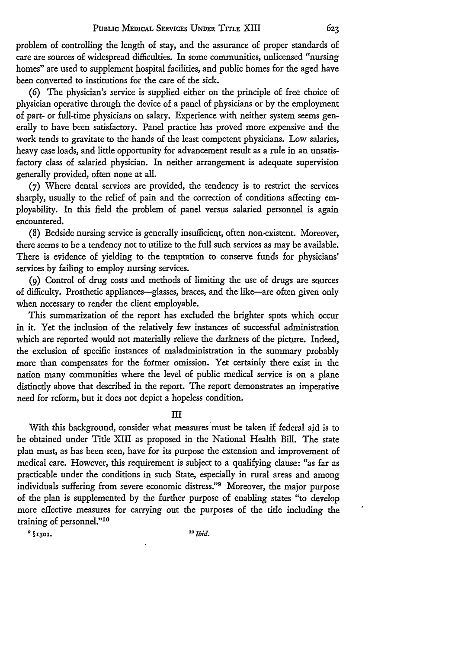problem of controlling the length of stay, and the assurance of proper standards of care are sources of widespread difficulties. In some communities, unlicensed "nursing homes" are used to supplement hospital facilities, and public homes for the aged have been converted to institutions for the care of the sick.

(6) The physician's service is supplied either on the principle of free choice of physician operative through the device of a panel of physicians or by the employment of part- or full-time physicians on salary. Experience with neither system seems generally to have been satisfactory. Panel practice has proved more expensive and the work tends to gravitate to the hands of the least competent physicians. Low salaries, heavy case loads, and little opportunity for advancement result as a rule in an unsatisfactory class of salaried physician. In neither arrangement is adequate supervision generally provided, often none at all.

**(7)** Where dental services are provided, the tendency is to restrict the services sharply, usually to the relief of pain and the correction of conditions affecting employability. In this field the problem of panel versus salaried personnel is again encountered.

(8) Bedside nursing service is generally insufficient, often non-existent. Moreover, there seems to be a tendency not to utilize to the full such services as may be available. There is evidence of yielding to the temptation to conserve funds for physicians' services by failing to employ nursing services.

**(9)** Control of drug costs and methods of limiting the use of drugs are squrces of difficulty. Prosthetic appliances-glasses, braces, and the like-are often given only when necessary to render the client employable.

This summarization of the report has excluded the brighter spots which occur in it. Yet the inclusion of the relatively few instances of successful administration which are reported would not materially relieve the darkness of the picture. Indeed, the exclusion of specific instances of maladministration in the summary probably more than compensates for the fotmer omission. Yet certainly there exist in the nation many communities where the level of public medical service is on a plane distinctly above that described in the report. The report demonstrates an imperative need for reform, but it does not depict a hopeless condition.

## **III**

With this background, consider what measures must be taken if federal aid is to be obtained under Title XIII as proposed in the National Health Bill. The state plan must, as has been seen, have for its purpose the extension and improvement of medical care. However, this requirement is subject to a qualifying clause: "as far as practicable under the conditions in such State, especially in rural areas and among individuals suffering from severe economic distress."<sup>9</sup> Moreover, the major purpose of the plan is supplemented by the further purpose of enabling states "to develop more effective measures for carrying out the purposes of the title including the training of personnel."<sup>10</sup>

§1301. **<sup>10</sup>***ibid.*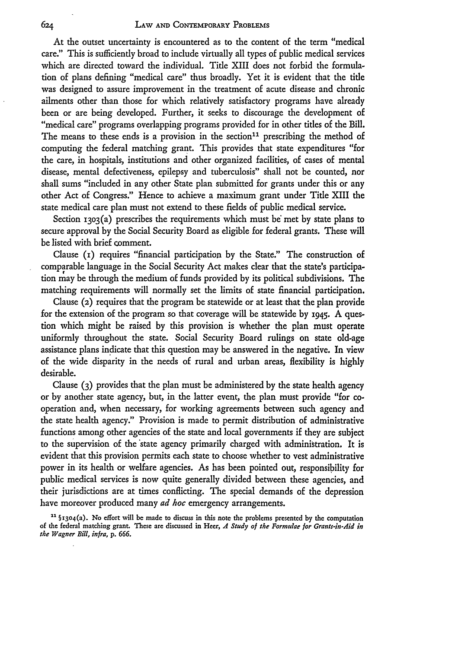At the outset uncertainty is encountered as to the content of the term "medical care." This is sufficiently broad to include virtually all types of public medical services which are directed toward the individual. Title XIII does not forbid the formulation of plans defining "medical care" thus broadly. Yet it is evident that the title was designed to assure improvement in the treatment of acute disease and chronic ailments other than those for which relatively satisfactory programs have already been or are being developed. Further, it seeks to discourage the development of "medical care" programs overlapping programs provided for in other titles of the Bill. The means to these ends is a provision in the section<sup>11</sup> prescribing the method of computing the federal matching grant. This provides that state expenditures "for the care, in hospitals, institutions and other organized facilities, of cases of mental disease, mental defectiveness, epilepsy and tuberculosis" shall not be counted, nor shall sums "included in any other State plan submitted for grants under this or any other Act of Congress." Hence to achieve a maximum grant under Title XIII the state medical care plan must not extend to these fields of public medical service.

Section 1303(a) prescribes the requirements which must be met by state plans to secure approval by the Social Security Board as eligible for federal grants. These will be listed with brief comment.

Clause **(i)** requires "financial participation by the State." The construction of comparable language in the Social Security Act makes clear that the state's participation may be through the medium of funds provided by its political subdivisions. The matching requirements will normally set the limits of state financial participation.

Clause **(2)** requires that the program be statewide or at least that the plan provide for the extension of the program so that coverage will be statewide by *1945.* A question which might be raised by this provision is whether the plan must operate uniformly throughout the state. Social Security Board rulings on state old-age assistance plans indicate that this question may be answered in the negative. In view of the wide disparity in the needs of rural and urban areas, flexibility is highly desirable.

Clause (3) provides that the plan must be administered by the state health agency or by another state agency, but, in the latter event, the plan must provide "for cooperation and, when necessary, for working agreements between such agency and the state health agency." Provision is made to permit distribution of administrative functions among other agencies of the state and local governments if they are subject to the supervision of the 'state agency primarily charged with administration. It is evident that this provision permits each state to choose whether to vest administrative power in its health or welfare agencies. As has been pointed out, responsibility for public medical services is now quite generally divided between these agencies, and their jurisdictions are at times conflicting. The special demands of the depression have moreover produced many *ad hoc* emergency arrangements.

**<sup>&</sup>quot;** § 1304(a). No effort will be made to discuss in this note the problems presented by the computation **of** the federal matching grant. **These are** discussed in Heer, *A Study of the Formulae for Grants-in-Aid in the Wagner Bill, infra,* **p. 666.**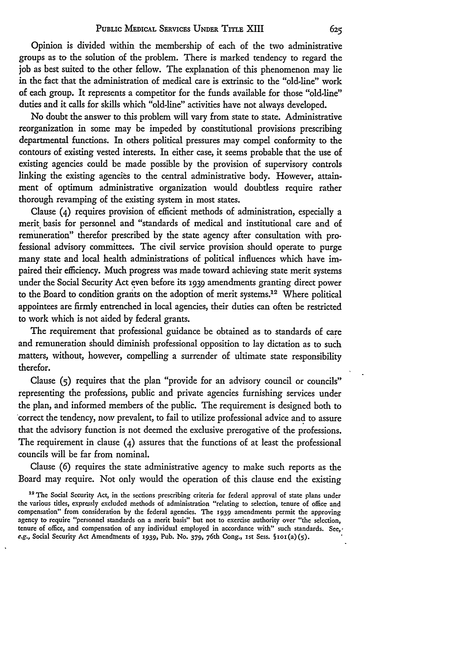Opinion is divided within the membership of each of the two administrative groups as to the solution of the problem. There is marked tendency to regard the job as best suited to the other fellow. The explanation of this phenomenon may lie in the fact that the administration of medical care is extrinsic to the "old-line" work of each group. It represents a competitor for the funds available for those "old-line" duties and it calls for skills which "old-line" activities have not always developed.

No doubt the answer to this problem will vary from state to state. Administrative reorganization in some may be impeded by constitutional provisions prescribing departmental functions. In others political pressures may compel conformity to the contours of existing vested interests. In either case, it seems probable that the use of existing agencies could be made possible by the provision of supervisory controls linking the existing agencies to the central administrative body. However, attainment of optimum administrative organization would doubtless require rather thorough revamping of the existing system in most states.

Clause (4) requires provision of efficient methods of administration, especially a merit basis for personnel and "standards of medical and institutional care and of remuneration" therefor prescribed by the state agency after consultation with professional advisory committees. The civil service provision should operate to purge many state and local health administrations of political influences which have impaired their efficiency. Much progress was made toward achieving state merit systems under the Social Security Act even before its 1939 amendments granting direct power to the Board to condition grants on the adoption of merit systems.<sup>12</sup> Where political appointees are firmly entrenched in local agencies, their duties can often be restricted to work which is not aided by federal grants.

The requirement that professional guidance be obtained as to standards of care and remuneration should diminish professional opposition to lay dictation as to such matters, without, however, compelling a surrender of ultimate state responsibility therefor.

Clause **(5)** requires that the plan "provide for an advisory council or councils" representing the professions, public and private agencies furnishing services under the plan, and informed members of the public. The requirement is designed both to correct the tendency, now prevalent, to fail to utilize professional advice and to assure that the advisory function is not deemed the exclusive prerogative of the professions. The requirement in clause  $(4)$  assures that the functions of at least the professional councils will be far from nominal.

Clause (6) requires the state administrative agency to make such reports as the Board may require. Not only would the operation of this clause end the existing

<sup>&</sup>lt;sup>12</sup> The Social Security Act, in the sections prescribing criteria for federal approval of state plans under the various titles, expressly excluded methods of administration "relating to selection, tenure of office and compensation" from consideration **by** the federal agencies. The **1939** amendments permit the approving agency to require "personnel standards on a merit basis" but not to exercise authority over "the selection, tenure of office, and compensation of any individual employed in accordance with" such standards. See,. *e.g.,* Social Security Act Amendments **of 1939,** Pub. **No. 379,** <sup>7</sup> 6th Cong., ist Sess. §ioi(a)(5).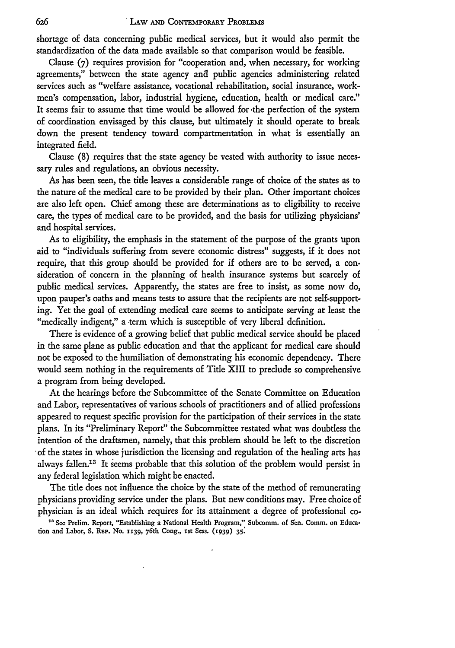shortage of data concerning public medical services, but it would also permit the standardization of the data made available so that comparison would be feasible.

Clause **(7)** requires provision for "cooperation and, when necessary, for working agreements," between the state agency and public agencies administering related services such as "welfare assistance, vocational rehabilitation, social insurance, workmen's compensation, labor, industrial hygiene, education, health or medical care." It seems fair to assume that time would be allowed for -the perfection of the system of coordination envisaged by this clause, but ultimately it should operate to break down the present tendency toward compartmentation in what is essentially an integrated field.

Clause (8) requires that the state agency be vested with authority to issue necessary rules and regulations, an obvious necessity.

As has been seen, the tide leaves a considerable range of choice of the states as to the nature of the medical care to be provided by their plan. Other important choices are also left open. Chief among these are determinations as to eligibility to receive care, the types of medical care to be provided, and the basis for utilizing physicians' and hospital services.

As to eligibility, the emphasis in the statement of the purpose of the grants 'upon aid to "individuals suffering from severe economic distress" suggests, if it does not require, that this group should be provided for if others are to be served, a consideration of concern in the planning of health insurance systems but scarcely of public medical services. Apparently, the states are free to insist, as some now do, upon pauper's oaths and means tests to assure that the recipients are not self-supporting. Yet the goal of extending medical care seems to anticipate serving at least the "medically indigent," a term which is susceptible of very liberal definition.

There is evidence of a growing belief that public medical service should be placed in the same plane as public education and that the applicant for medical care should not be exposed to the humiliation of demonstrating his economic dependency. There would seem nothing in the requirements of Tide XIII to preclude so comprehensive a program from being developed.

At the hearings before the Subcommittee of the Senate Committee on Education and Labor, representatives of various schools of practitioners and of allied professions appeared to request specific provision for the participation of their services in the state plans. In its "Preliminary Report" the Subcommittee restated what was doubtless the intention of the draftsmen, namely, that this problem should be left to the discretion **of** the states in whose jurisdiction the licensing and regulation of the healing arts has always fallen.<sup>13</sup> It seems probable that this solution of the problem would persist in any federal legislation which might be enacted.

The tide does not influence the choice by the state of the method of remunerating physicians providing service under the plans. But new conditions may. Free choice of physician is an ideal which requires for its attainment a degree of professional co- **"**

**3See Prelim.** Report, "Establishing **a** National Health Program," Subcomm. **of Sen. Comm. on Educa**tion and Labor, **S. RaP.** No. **1139,** 76th Cong., ist Sess. **(1939) 35:**